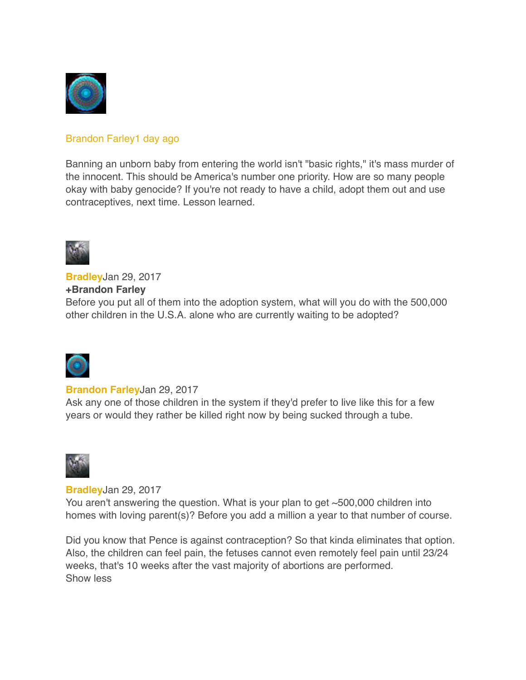

# [Brandon Farley](https://www.youtube.com/user/bfarley88)[1 day ago](https://www.youtube.com/watch?v=V7W2CT8SBnk&lc=z130zdd4txbwgtsy304ci3vo0unjejigpco)

Banning an unborn baby from entering the world isn't "basic rights," it's mass murder of the innocent. This should be America's number one priority. How are so many people okay with baby genocide? If you're not ready to have a child, adopt them out and use contraceptives, next time. Lesson learned.



**[Bradley](https://plus.google.com/u/0/100142358010641239484)**Jan 29, 2017 **+Brandon Farley** Before you put all of them into the adoption system, what will you do with the 500,000 other children in the U.S.A. alone who are currently waiting to be adopted?



### **[Brandon Farley](https://plus.google.com/u/0/102180913773139672841)**Jan 29, 2017

Ask any one of those children in the system if they'd prefer to live like this for a few years or would they rather be killed right now by being sucked through a tube.



**[Bradley](https://plus.google.com/u/0/100142358010641239484)**Jan 29, 2017

You aren't answering the question. What is your plan to get ~500,000 children into homes with loving parent(s)? Before you add a million a year to that number of course.

Did you know that Pence is against contraception? So that kinda eliminates that option. Also, the children can feel pain, the fetuses cannot even remotely feel pain until 23/24 weeks, that's 10 weeks after the vast majority of abortions are performed. Show less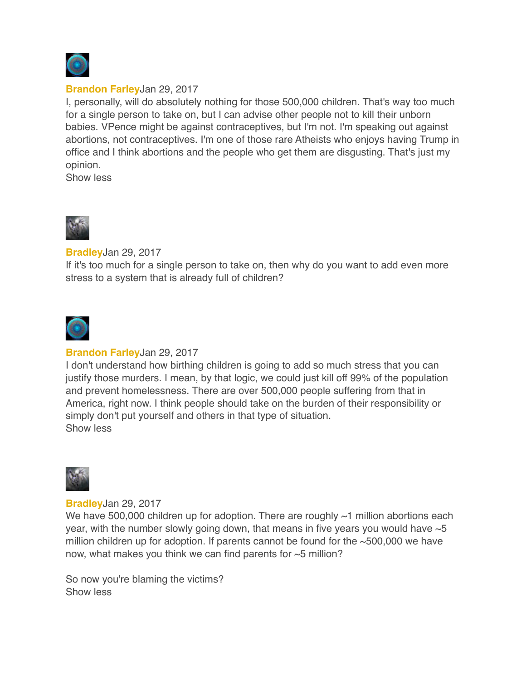

### **[Brandon Farley](https://plus.google.com/u/0/102180913773139672841)**Jan 29, 2017

I, personally, will do absolutely nothing for those 500,000 children. That's way too much for a single person to take on, but I can advise other people not to kill their unborn babies. VPence might be against contraceptives, but I'm not. I'm speaking out against abortions, not contraceptives. I'm one of those rare Atheists who enjoys having Trump in office and I think abortions and the people who get them are disgusting. That's just my opinion.

Show less



**[Bradley](https://plus.google.com/u/0/100142358010641239484)**Jan 29, 2017

If it's too much for a single person to take on, then why do you want to add even more stress to a system that is already full of children?



# **[Brandon Farley](https://plus.google.com/u/0/102180913773139672841)**Jan 29, 2017

I don't understand how birthing children is going to add so much stress that you can justify those murders. I mean, by that logic, we could just kill off 99% of the population and prevent homelessness. There are over 500,000 people suffering from that in America, right now. I think people should take on the burden of their responsibility or simply don't put yourself and others in that type of situation. Show less



**[Bradley](https://plus.google.com/u/0/100142358010641239484)**Jan 29, 2017

We have 500,000 children up for adoption. There are roughly  $\sim$ 1 million abortions each year, with the number slowly going down, that means in five years you would have  $\sim$  5 million children up for adoption. If parents cannot be found for the  $\sim$  500,000 we have now, what makes you think we can find parents for  $\sim$ 5 million?

So now you're blaming the victims? Show less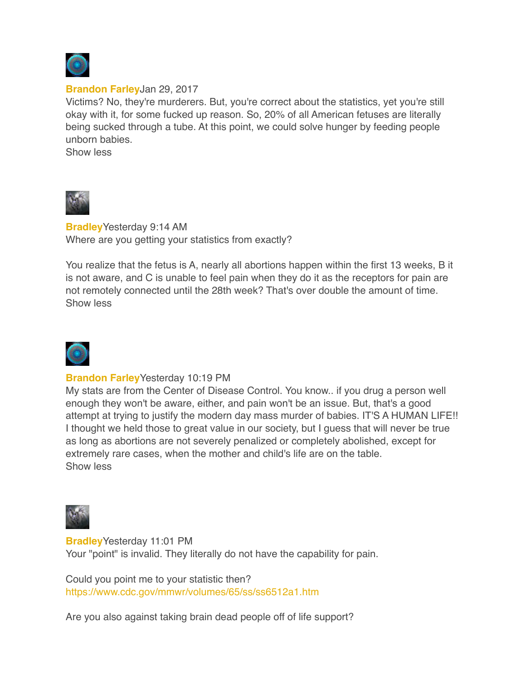

#### **[Brandon Farley](https://plus.google.com/u/0/102180913773139672841)**Jan 29, 2017

Victims? No, they're murderers. But, you're correct about the statistics, yet you're still okay with it, for some fucked up reason. So, 20% of all American fetuses are literally being sucked through a tube. At this point, we could solve hunger by feeding people unborn babies.

Show less



**[Bradley](https://plus.google.com/u/0/100142358010641239484)**Yesterday 9:14 AM Where are you getting your statistics from exactly?

You realize that the fetus is A, nearly all abortions happen within the first 13 weeks, B it is not aware, and C is unable to feel pain when they do it as the receptors for pain are not remotely connected until the 28th week? That's over double the amount of time. Show less



### **[Brandon Farley](https://plus.google.com/u/0/102180913773139672841)**Yesterday 10:19 PM

My stats are from the Center of Disease Control. You know.. if you drug a person well enough they won't be aware, either, and pain won't be an issue. But, that's a good attempt at trying to justify the modern day mass murder of babies. IT'S A HUMAN LIFE!! I thought we held those to great value in our society, but I guess that will never be true as long as abortions are not severely penalized or completely abolished, except for extremely rare cases, when the mother and child's life are on the table. Show less



**[Bradley](https://plus.google.com/u/0/100142358010641239484)**Yesterday 11:01 PM Your "point" is invalid. They literally do not have the capability for pain.

Could you point me to your statistic then? <https://www.cdc.gov/mmwr/volumes/65/ss/ss6512a1.htm>

Are you also against taking brain dead people off of life support?